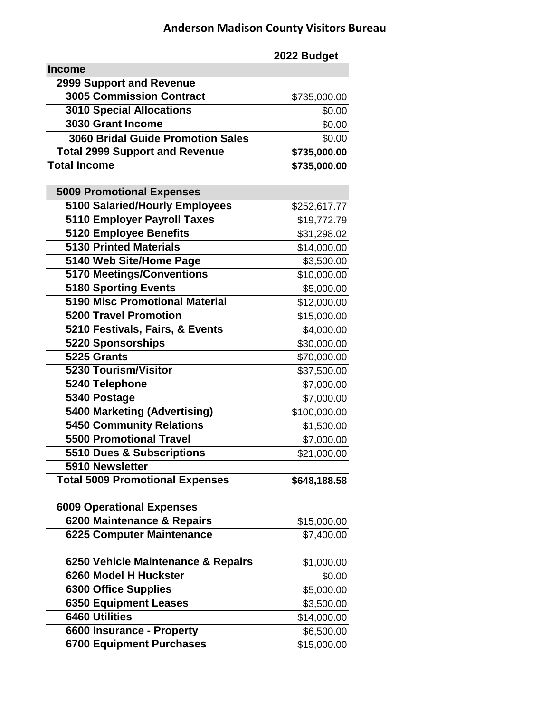## **Anderson Madison County Visitors Bureau**

**2022 Budget Income 2999 Support and Revenue 3005 Commission Contract \$735,000.00 3010 Special Allocations** \$0.00 **3030 Grant Income \$0.00 \$0.00 \$0.00 \$0.00 \$0.00 \$0.00 \$0.00 \$0.00 \$0.00 \$0.00 \$1.00 \$1.00 \$1.00 \$1.00 \$1.00 \$1.00 \$1.00 \$1.00 \$1.00 \$1.00 \$1.00 \$1.00 \$1.00 \$1.00 \$1.00 \$1.00 \$1.00 \$1.00 \$1.00 \$1.00 \$1.00 \$1.00 \$1.00 \$1.00 3060 Bridal Guide Promotion Sales** \$0.00  **Total 2999 Support and Revenue \$735,000.00 Total Income \$735,000.00 5009 Promotional Expenses 5100 Salaried/Hourly Employees** \$252,617.77 **5110 Employer Payroll Taxes** \$19,772.79 **5120 Employee Benefits** \$31,298.02 **5130 Printed Materials** \$14,000.00 **5140 Web Site/Home Page**  $$3,500.00$ **5170 Meetings/Conventions** \$10,000.00 **5180 Sporting Events** \$5,000.00  **5190 Misc Promotional Material** \$12,000.00 **5200 Travel Promotion** \$15,000.00 **5210 Festivals, Fairs, & Events** \$4,000.00 **5220 Sponsorships** \$30,000.00 **5225 Grants** \$70,000.00 **5230 Tourism/Visitor \$37,500.00 \$37,500.00 5240 Telephone** \$7,000.00 **5340 Postage \$7,000.00 \$7,000.00 \$7,000.00 \$7,000.00 \$7,000.00 \$7,000.00 \$7,000.00 \$7,000.00 \$7,000.00 \$7,000.00 \$7,000.00 \$7,000.00 \$7,000.00 \$7,000.00 \$7,000.00 \$7,000.00 \$7,000.00 \$7,000.00 \$7,000.00 \$7,000.00 \$7,000.0 5400 Marketing (Advertising)** \$100,000.00 **5450 Community Relations**  $$1,500.00$ **5500 Promotional Travel \$7,000.00 \$7,000.00 5510 Dues & Subscriptions** \$21,000.00  **5910 Newsletter Total 5009 Promotional Expenses \$648,188.58 6009 Operational Expenses 6200 Maintenance & Repairs** \$15,000.00 **6225 Computer Maintenance** \$7,400.00 **6250 Vehicle Maintenance & Repairs** \$1,000.00 **6260 Model H Huckster** \$0.00 **6300 Office Supplies**  $$5,000.00$ **6350 Equipment Leases** \$3,500.00 **6460 Utilities** \$14,000.00 **6600 Insurance - Property \$6,500.00 \$6,500.00 6700 Equipment Purchases** \$15,000.00